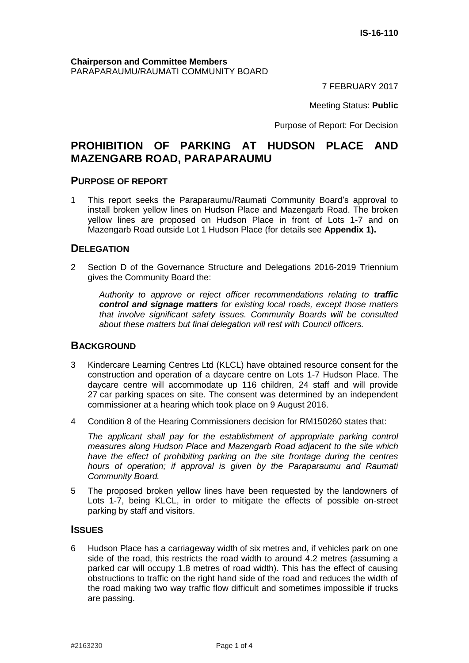7 FEBRUARY 2017

Meeting Status: **Public**

Purpose of Report: For Decision

# **PROHIBITION OF PARKING AT HUDSON PLACE AND MAZENGARB ROAD, PARAPARAUMU**

#### **PURPOSE OF REPORT**

1 This report seeks the Paraparaumu/Raumati Community Board's approval to install broken yellow lines on Hudson Place and Mazengarb Road. The broken yellow lines are proposed on Hudson Place in front of Lots 1-7 and on Mazengarb Road outside Lot 1 Hudson Place (for details see **Appendix 1).**

### **DELEGATION**

2 Section D of the Governance Structure and Delegations 2016-2019 Triennium gives the Community Board the:

*Authority to approve or reject officer recommendations relating to traffic control and signage matters for existing local roads, except those matters that involve significant safety issues. Community Boards will be consulted about these matters but final delegation will rest with Council officers.*

### **BACKGROUND**

- 3 Kindercare Learning Centres Ltd (KLCL) have obtained resource consent for the construction and operation of a daycare centre on Lots 1-7 Hudson Place. The daycare centre will accommodate up 116 children, 24 staff and will provide 27 car parking spaces on site. The consent was determined by an independent commissioner at a hearing which took place on 9 August 2016.
- 4 Condition 8 of the Hearing Commissioners decision for RM150260 states that:

*The applicant shall pay for the establishment of appropriate parking control measures along Hudson Place and Mazengarb Road adjacent to the site which have the effect of prohibiting parking on the site frontage during the centres hours of operation; if approval is given by the Paraparaumu and Raumati Community Board.* 

5 The proposed broken yellow lines have been requested by the landowners of Lots 1-7, being KLCL, in order to mitigate the effects of possible on-street parking by staff and visitors.

#### **ISSUES**

6 Hudson Place has a carriageway width of six metres and, if vehicles park on one side of the road, this restricts the road width to around 4.2 metres (assuming a parked car will occupy 1.8 metres of road width). This has the effect of causing obstructions to traffic on the right hand side of the road and reduces the width of the road making two way traffic flow difficult and sometimes impossible if trucks are passing.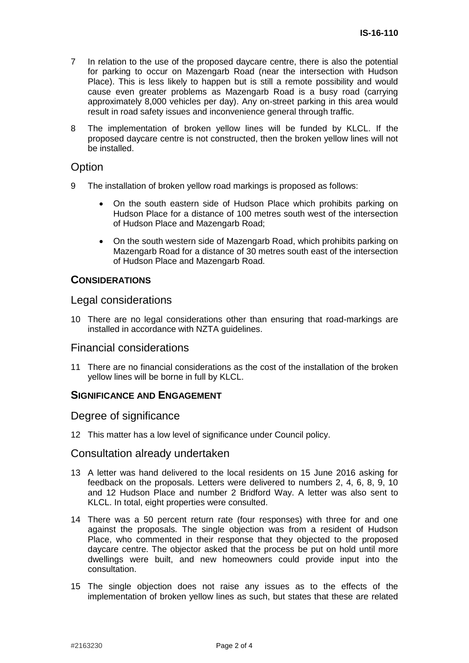- 7 In relation to the use of the proposed daycare centre, there is also the potential for parking to occur on Mazengarb Road (near the intersection with Hudson Place). This is less likely to happen but is still a remote possibility and would cause even greater problems as Mazengarb Road is a busy road (carrying approximately 8,000 vehicles per day). Any on-street parking in this area would result in road safety issues and inconvenience general through traffic.
- 8 The implementation of broken yellow lines will be funded by KLCL. If the proposed daycare centre is not constructed, then the broken yellow lines will not be installed.

### **Option**

- 9 The installation of broken yellow road markings is proposed as follows:
	- On the south eastern side of Hudson Place which prohibits parking on Hudson Place for a distance of 100 metres south west of the intersection of Hudson Place and Mazengarb Road;
	- On the south western side of Mazengarb Road, which prohibits parking on Mazengarb Road for a distance of 30 metres south east of the intersection of Hudson Place and Mazengarb Road.

### **CONSIDERATIONS**

### Legal considerations

10 There are no legal considerations other than ensuring that road-markings are installed in accordance with NZTA guidelines.

### Financial considerations

11 There are no financial considerations as the cost of the installation of the broken yellow lines will be borne in full by KLCL.

### **SIGNIFICANCE AND ENGAGEMENT**

#### Degree of significance

12 This matter has a low level of significance under Council policy.

### Consultation already undertaken

- 13 A letter was hand delivered to the local residents on 15 June 2016 asking for feedback on the proposals. Letters were delivered to numbers 2, 4, 6, 8, 9, 10 and 12 Hudson Place and number 2 Bridford Way. A letter was also sent to KLCL. In total, eight properties were consulted.
- 14 There was a 50 percent return rate (four responses) with three for and one against the proposals. The single objection was from a resident of Hudson Place, who commented in their response that they objected to the proposed daycare centre. The objector asked that the process be put on hold until more dwellings were built, and new homeowners could provide input into the consultation.
- 15 The single objection does not raise any issues as to the effects of the implementation of broken yellow lines as such, but states that these are related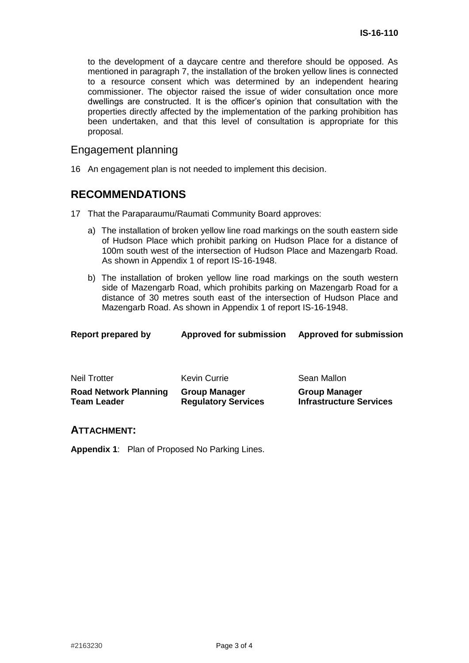**Infrastructure Services**

to the development of a daycare centre and therefore should be opposed. As mentioned in paragraph 7, the installation of the broken yellow lines is connected to a resource consent which was determined by an independent hearing commissioner. The objector raised the issue of wider consultation once more dwellings are constructed. It is the officer's opinion that consultation with the properties directly affected by the implementation of the parking prohibition has been undertaken, and that this level of consultation is appropriate for this proposal.

### Engagement planning

16 An engagement plan is not needed to implement this decision.

# **RECOMMENDATIONS**

- 17 That the Paraparaumu/Raumati Community Board approves:
	- a) The installation of broken yellow line road markings on the south eastern side of Hudson Place which prohibit parking on Hudson Place for a distance of 100m south west of the intersection of Hudson Place and Mazengarb Road. As shown in Appendix 1 of report IS-16-1948.
	- b) The installation of broken yellow line road markings on the south western side of Mazengarb Road, which prohibits parking on Mazengarb Road for a distance of 30 metres south east of the intersection of Hudson Place and Mazengarb Road. As shown in Appendix 1 of report IS-16-1948.

| Report prepared by           | <b>Approved for submission</b> | <b>Approved for submission</b> |
|------------------------------|--------------------------------|--------------------------------|
| Neil Trotter                 | Kevin Currie                   | Sean Mallon                    |
| <b>Road Network Planning</b> | <b>Group Manager</b>           | <b>Group Manager</b>           |

**Regulatory Services** 

#### **ATTACHMENT:**

**Team Leader**

**Appendix 1**: Plan of Proposed No Parking Lines.